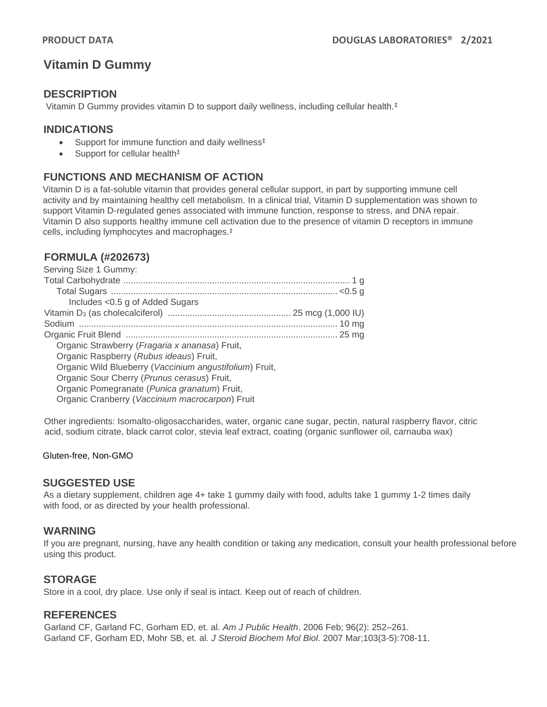# **Vitamin D Gummy**

## **DESCRIPTION**

Vitamin D Gummy provides vitamin D to support daily wellness, including cellular health.‡

## **INDICATIONS**

- Support for immune function and daily wellness<sup>‡</sup>
- Support for cellular health<sup>‡</sup>

# **FUNCTIONS AND MECHANISM OF ACTION**

Vitamin D is a fat-soluble vitamin that provides general cellular support, in part by supporting immune cell activity and by maintaining healthy cell metabolism. In a clinical trial, Vitamin D supplementation was shown to support Vitamin D-regulated genes associated with immune function, response to stress, and DNA repair. Vitamin D also supports healthy immune cell activation due to the presence of vitamin D receptors in immune cells, including lymphocytes and macrophages.‡

## **FORMULA (#202673)**

| Serving Size 1 Gummy:                                   |  |
|---------------------------------------------------------|--|
|                                                         |  |
|                                                         |  |
| Includes < 0.5 g of Added Sugars                        |  |
|                                                         |  |
|                                                         |  |
|                                                         |  |
| Organic Strawberry (Fragaria x ananasa) Fruit,          |  |
| Organic Raspberry (Rubus ideaus) Fruit,                 |  |
| Organic Wild Blueberry (Vaccinium angustifolium) Fruit, |  |
| Organic Sour Cherry (Prunus cerasus) Fruit,             |  |
| Organic Pomegranate (Punica granatum) Fruit,            |  |
| Organic Cranberry (Vaccinium macrocarpon) Fruit         |  |
|                                                         |  |

Other ingredients: Isomalto-oligosaccharides, water, organic cane sugar, pectin, natural raspberry flavor, citric acid, sodium citrate, black carrot color, stevia leaf extract, coating (organic sunflower oil, carnauba wax)

#### Gluten-free, Non-GMO

#### **SUGGESTED USE**

As a dietary supplement, children age 4+ take 1 gummy daily with food, adults take 1 gummy 1-2 times daily with food, or as directed by your health professional.

#### **WARNING**

If you are pregnant, nursing, have any health condition or taking any medication, consult your health professional before using this product.

#### **STORAGE**

Store in a cool, dry place. Use only if seal is intact. Keep out of reach of children.

## **REFERENCES**

Garland CF, Garland FC, Gorham ED, et. al. *Am J Public Health*. 2006 Feb; 96(2): 252–261. Garland CF, Gorham ED, Mohr SB, et. al. *J Steroid Biochem Mol Biol*. 2007 Mar;103(3-5):708-11.